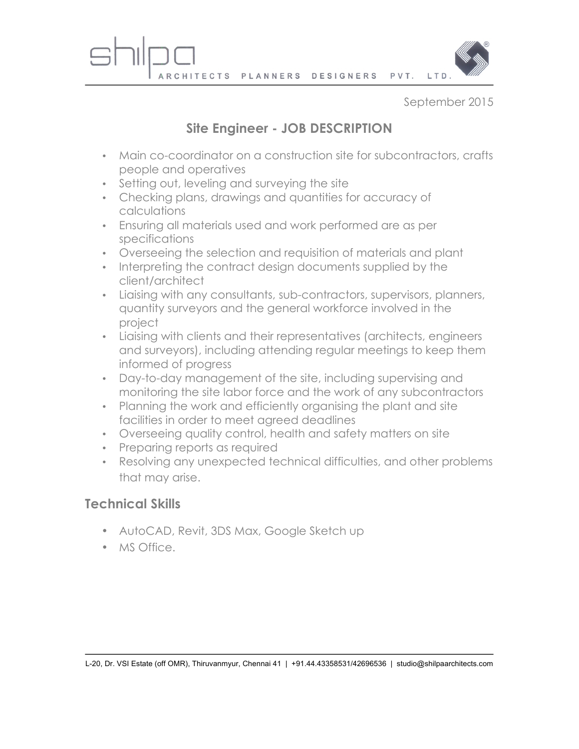

September 2015

## **Site Engineer - JOB DESCRIPTION**

- Main co-coordinator on a construction site for subcontractors, crafts people and operatives
- Setting out, leveling and surveying the site
- Checking plans, drawings and quantities for accuracy of calculations
- Ensuring all materials used and work performed are as per specifications
- Overseeing the selection and requisition of materials and plant
- Interpreting the contract design documents supplied by the client/architect
- Liaising with any consultants, sub-contractors, supervisors, planners, quantity surveyors and the general workforce involved in the project
- Liaising with clients and their representatives (architects, engineers and surveyors), including attending regular meetings to keep them informed of progress
- Day-to-day management of the site, including supervising and monitoring the site labor force and the work of any subcontractors
- Planning the work and efficiently organising the plant and site facilities in order to meet agreed deadlines
- Overseeing quality control, health and safety matters on site
- Preparing reports as required
- Resolving any unexpected technical difficulties, and other problems that may arise.

## **Technical Skills**

- AutoCAD, Revit, 3DS Max, Google Sketch up
- MS Office.